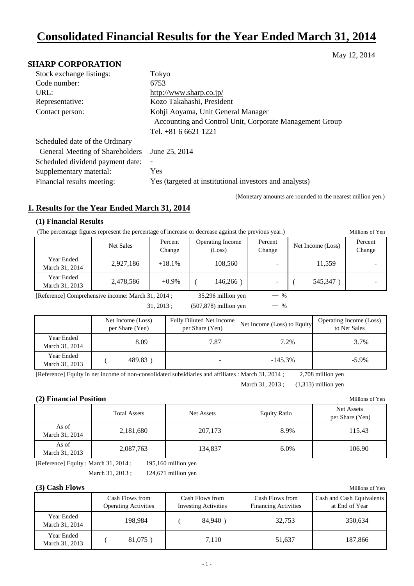# **Consolidated Financial Results for the Year Ended March 31, 2014**

May 12, 2014

### **SHARP CORPORATION**

| Stock exchange listings:         | Tokyo                                                   |
|----------------------------------|---------------------------------------------------------|
| Code number:                     | 6753                                                    |
| URL:                             | http://www.sharp.co.jp/                                 |
| Representative:                  | Kozo Takahashi, President                               |
| Contact person:                  | Kohji Aoyama, Unit General Manager                      |
|                                  | Accounting and Control Unit, Corporate Management Group |
|                                  | Tel. $+81$ 6 6621 1221                                  |
| Scheduled date of the Ordinary   |                                                         |
| General Meeting of Shareholders  | June 25, 2014                                           |
| Scheduled dividend payment date: | $\overline{\phantom{a}}$                                |
| Supplementary material:          | Yes                                                     |
| Financial results meeting:       | Yes (targeted at institutional investors and analysts)  |

(Monetary amounts are rounded to the nearest million yen.)

### **1. Results for the Year Ended March 31, 2014**

#### **(1) Financial Results**

(The percentage figures represent the percentage of increase or decrease against the previous year.) Millions of Yen

|                              | Net Sales | Percent<br>Change | <b>Operating Income</b><br>(Loss) | Percent<br>Change | Net Income (Loss) | Percent<br>Change |
|------------------------------|-----------|-------------------|-----------------------------------|-------------------|-------------------|-------------------|
| Year Ended<br>March 31, 2014 | 2,927,186 | $+18.1%$          | 108.560                           |                   | 11.559            |                   |
| Year Ended<br>March 31, 2013 | 2,478,586 | $+0.9\%$          | 146,266                           | -                 | 545,347           |                   |

[Reference] Comprehensive income: March 31, 2014 ; 35,296 million yen ― %

 $[31, 2013;$   $(507, 878)$  million yen — %

|                              | Net Income (Loss)<br>per Share (Yen) | <b>Fully Diluted Net Income</b><br>per Share (Yen) | Net Income (Loss) to Equity | Operating Income (Loss)<br>to Net Sales |
|------------------------------|--------------------------------------|----------------------------------------------------|-----------------------------|-----------------------------------------|
| Year Ended<br>March 31, 2014 | 8.09                                 | 7.87                                               | 7.2%                        | 3.7%                                    |
| Year Ended<br>March 31, 2013 | 489.83                               | -                                                  | $-145.3\%$                  | $-5.9\%$                                |

[Reference] Equity in net income of non-consolidated subsidiaries and affiliates : March 31, 2014 ; 2,708 million yen

March 31, 2013 ;  $(1,313)$  million yen

### **(2) Financial Position** Millions of Yen

|                         | <b>Total Assets</b> | Net Assets | <b>Equity Ratio</b> | <b>Net Assets</b><br>per Share (Yen) |
|-------------------------|---------------------|------------|---------------------|--------------------------------------|
| As of<br>March 31, 2014 | 2,181,680           | 207,173    | 8.9%                | 115.43                               |
| As of<br>March 31, 2013 | 2,087,763           | 134,837    | 6.0%                | 106.90                               |

[Reference] Equity : March 31, 2014 ; 195,160 million yen March 31, 2013 ; 124,671 million yen

#### **(3) Cash Flows** Millions of Yen

|                              | Cash Flows from<br><b>Operating Activities</b> | Cash Flows from<br><b>Investing Activities</b> | Cash Flows from<br><b>Financing Activities</b> | Cash and Cash Equivalents<br>at End of Year |
|------------------------------|------------------------------------------------|------------------------------------------------|------------------------------------------------|---------------------------------------------|
| Year Ended<br>March 31, 2014 | 198.984                                        | 84,940                                         | 32.753                                         | 350.634                                     |
| Year Ended<br>March 31, 2013 | 81,075)                                        | 7.110                                          | 51.637                                         | 187,866                                     |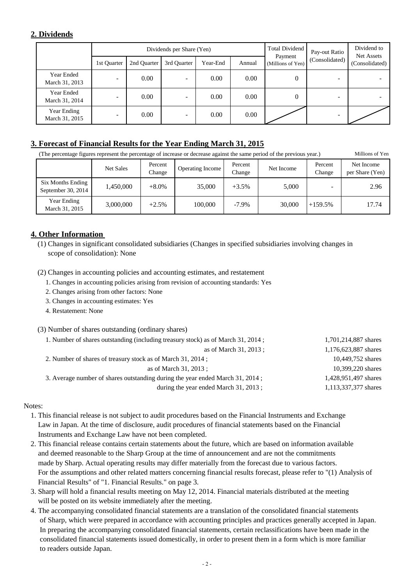### **2. Dividends**

|                               |             |             | Dividends per Share (Yen) |          |                                        | Total Dividend | Pay-out Ratio            | Dividend to<br>Net Assets |
|-------------------------------|-------------|-------------|---------------------------|----------|----------------------------------------|----------------|--------------------------|---------------------------|
|                               | 1st Quarter | 2nd Ouarter | 3rd Quarter               | Year-End | Payment<br>Annual<br>(Millions of Yen) |                | (Consolidated)           | (Consolidated)            |
| Year Ended<br>March 31, 2013  | -           | 0.00        |                           | 0.00     | 0.00                                   | 0              |                          |                           |
| Year Ended<br>March 31, 2014  | ۰           | 0.00        |                           | 0.00     | 0.00                                   | 0              |                          |                           |
| Year Ending<br>March 31, 2015 | ۰           | 0.00        | -                         | 0.00     | 0.00                                   |                | $\overline{\phantom{0}}$ |                           |

### **3. Forecast of Financial Results for the Year Ending March 31, 2015**

(The percentage figures represent the percentage of increase or decrease against the same period of the previous year.) Millions of Yen

|                                           | <b>Net Sales</b> | Percent<br>Change | <b>Operating Income</b> | Percent<br>Change | Net Income | Percent<br>Change | Net Income<br>per Share (Yen) |
|-------------------------------------------|------------------|-------------------|-------------------------|-------------------|------------|-------------------|-------------------------------|
| Six Months Ending<br>September 30, $2014$ | 1.450.000        | $+8.0\%$          | 35,000                  | $+3.5%$           | 5,000      |                   | 2.96                          |
| Year Ending<br>March 31, 2015             | 3,000,000        | $+2.5%$           | 100,000                 | $-7.9\%$          | 30,000     | $+159.5%$         | 17.74                         |

### **4. Other Information**

(1) Changes in significant consolidated subsidiaries (Changes in specified subsidiaries involving changes in scope of consolidation): None

(2) Changes in accounting policies and accounting estimates, and restatement

- 1. Changes in accounting policies arising from revision of accounting standards: Yes
- 2. Changes arising from other factors: None
- 3. Changes in accounting estimates: Yes
- 4. Restatement: None

### (3) Number of shares outstanding (ordinary shares)

| 1. Number of shares outstanding (including treasury stock) as of March 31, 2014; | 1,701,214,887 shares |
|----------------------------------------------------------------------------------|----------------------|
| as of March 31, 2013 ;                                                           | 1,176,623,887 shares |
| 2. Number of shares of treasury stock as of March 31, 2014;                      | 10,449,752 shares    |
| as of March 31, 2013 ;                                                           | 10,399,220 shares    |
| 3. Average number of shares outstanding during the year ended March 31, 2014;    | 1,428,951,497 shares |
| during the year ended March 31, 2013;                                            | 1,113,337,377 shares |

### Notes:

- 1. This financial release is not subject to audit procedures based on the Financial Instruments and Exchange Law in Japan. At the time of disclosure, audit procedures of financial statements based on the Financial Instruments and Exchange Law have not been completed.
- 2. This financial release contains certain statements about the future, which are based on information available and deemed reasonable to the Sharp Group at the time of announcement and are not the commitments made by Sharp. Actual operating results may differ materially from the forecast due to various factors. For the assumptions and other related matters concerning financial results forecast, please refer to "(1) Analysis of Financial Results" of "1. Financial Results." on page 3.
- 3. Sharp will hold a financial results meeting on May 12, 2014. Financial materials distributed at the meeting will be posted on its website immediately after the meeting.
- 4. The accompanying consolidated financial statements are a translation of the consolidated financial statements of Sharp, which were prepared in accordance with accounting principles and practices generally accepted in Japan. In preparing the accompanying consolidated financial statements, certain reclassifications have been made in the consolidated financial statements issued domestically, in order to present them in a form which is more familiar to readers outside Japan.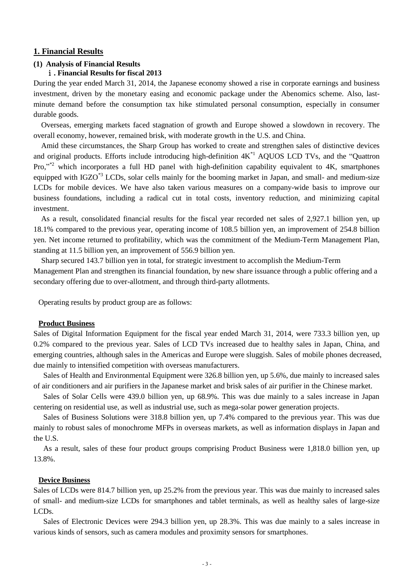#### **1. Financial Results**

### **(1) Analysis of Financial Results**

### ⅰ**. Financial Results for fiscal 2013**

During the year ended March 31, 2014, the Japanese economy showed a rise in corporate earnings and business investment, driven by the monetary easing and economic package under the Abenomics scheme. Also, lastminute demand before the consumption tax hike stimulated personal consumption, especially in consumer durable goods.

Overseas, emerging markets faced stagnation of growth and Europe showed a slowdown in recovery. The overall economy, however, remained brisk, with moderate growth in the U.S. and China.

Amid these circumstances, the Sharp Group has worked to create and strengthen sales of distinctive devices and original products. Efforts include introducing high-definition 4K\*1 AQUOS LCD TVs, and the "Quattron Pro,"<sup>2</sup> which incorporates a full HD panel with high-definition capability equivalent to 4K, smartphones equipped with IGZO<sup>\*3</sup> LCDs, solar cells mainly for the booming market in Japan, and small- and medium-size LCDs for mobile devices. We have also taken various measures on a company-wide basis to improve our business foundations, including a radical cut in total costs, inventory reduction, and minimizing capital investment.

As a result, consolidated financial results for the fiscal year recorded net sales of 2,927.1 billion yen, up 18.1% compared to the previous year, operating income of 108.5 billion yen, an improvement of 254.8 billion yen. Net income returned to profitability, which was the commitment of the Medium-Term Management Plan, standing at 11.5 billion yen, an improvement of 556.9 billion yen.

Sharp secured 143.7 billion yen in total, for strategic investment to accomplish the Medium-Term Management Plan and strengthen its financial foundation, by new share issuance through a public offering and a secondary offering due to over-allotment, and through third-party allotments.

Operating results by product group are as follows:

#### **Product Business**

Sales of Digital Information Equipment for the fiscal year ended March 31, 2014, were 733.3 billion yen, up 0.2% compared to the previous year. Sales of LCD TVs increased due to healthy sales in Japan, China, and emerging countries, although sales in the Americas and Europe were sluggish. Sales of mobile phones decreased, due mainly to intensified competition with overseas manufacturers.

Sales of Health and Environmental Equipment were 326.8 billion yen, up 5.6%, due mainly to increased sales of air conditioners and air purifiers in the Japanese market and brisk sales of air purifier in the Chinese market.

Sales of Solar Cells were 439.0 billion yen, up 68.9%. This was due mainly to a sales increase in Japan centering on residential use, as well as industrial use, such as mega-solar power generation projects.

Sales of Business Solutions were 318.8 billion yen, up 7.4% compared to the previous year. This was due mainly to robust sales of monochrome MFPs in overseas markets, as well as information displays in Japan and the U.S.

As a result, sales of these four product groups comprising Product Business were 1,818.0 billion yen, up 13.8%.

#### **Device Business**

Sales of LCDs were 814.7 billion yen, up 25.2% from the previous year. This was due mainly to increased sales of small- and medium-size LCDs for smartphones and tablet terminals, as well as healthy sales of large-size LCDs.

Sales of Electronic Devices were 294.3 billion yen, up 28.3%. This was due mainly to a sales increase in various kinds of sensors, such as camera modules and proximity sensors for smartphones.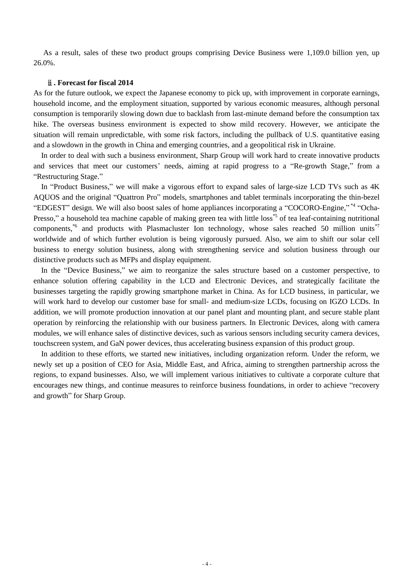As a result, sales of these two product groups comprising Device Business were 1,109.0 billion yen, up 26.0%.

#### ⅱ**. Forecast for fiscal 2014**

As for the future outlook, we expect the Japanese economy to pick up, with improvement in corporate earnings, household income, and the employment situation, supported by various economic measures, although personal consumption is temporarily slowing down due to backlash from last-minute demand before the consumption tax hike. The overseas business environment is expected to show mild recovery. However, we anticipate the situation will remain unpredictable, with some risk factors, including the pullback of U.S. quantitative easing and a slowdown in the growth in China and emerging countries, and a geopolitical risk in Ukraine.

In order to deal with such a business environment, Sharp Group will work hard to create innovative products and services that meet our customers' needs, aiming at rapid progress to a "Re-growth Stage," from a "Restructuring Stage."

In "Product Business," we will make a vigorous effort to expand sales of large-size LCD TVs such as 4K AQUOS and the original "Quattron Pro" models, smartphones and tablet terminals incorporating the thin-bezel "EDGEST" design. We will also boost sales of home appliances incorporating a "COCORO-Engine,"<sup>\*4</sup> "Ocha-Presso," a household tea machine capable of making green tea with little loss<sup>\*5</sup> of tea leaf-containing nutritional components,\*6 and products with Plasmacluster Ion technology, whose sales reached 50 million units\*7 worldwide and of which further evolution is being vigorously pursued. Also, we aim to shift our solar cell business to energy solution business, along with strengthening service and solution business through our distinctive products such as MFPs and display equipment.

In the "Device Business," we aim to reorganize the sales structure based on a customer perspective, to enhance solution offering capability in the LCD and Electronic Devices, and strategically facilitate the businesses targeting the rapidly growing smartphone market in China. As for LCD business, in particular, we will work hard to develop our customer base for small- and medium-size LCDs, focusing on IGZO LCDs. In addition, we will promote production innovation at our panel plant and mounting plant, and secure stable plant operation by reinforcing the relationship with our business partners. In Electronic Devices, along with camera modules, we will enhance sales of distinctive devices, such as various sensors including security camera devices, touchscreen system, and GaN power devices, thus accelerating business expansion of this product group.

In addition to these efforts, we started new initiatives, including organization reform. Under the reform, we newly set up a position of CEO for Asia, Middle East, and Africa, aiming to strengthen partnership across the regions, to expand businesses. Also, we will implement various initiatives to cultivate a corporate culture that encourages new things, and continue measures to reinforce business foundations, in order to achieve "recovery and growth" for Sharp Group.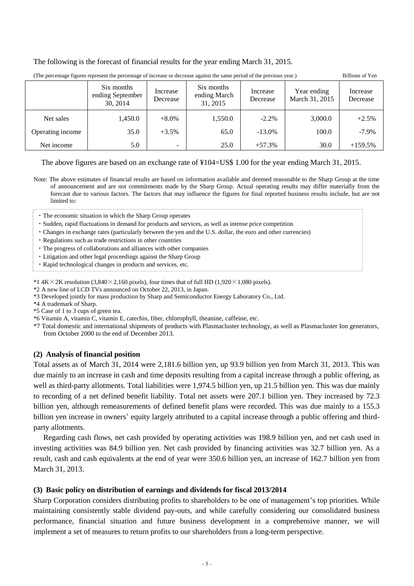The following is the forecast of financial results for the year ending March 31, 2015.

| The percentage figures represent the percentage of increase or decrease against the same period of the previous year.) |                                            |                      |                                        |                      |                               |                      |  |
|------------------------------------------------------------------------------------------------------------------------|--------------------------------------------|----------------------|----------------------------------------|----------------------|-------------------------------|----------------------|--|
|                                                                                                                        | Six months<br>ending September<br>30, 2014 | Increase<br>Decrease | Six months<br>ending March<br>31, 2015 | Increase<br>Decrease | Year ending<br>March 31, 2015 | Increase<br>Decrease |  |
| Net sales                                                                                                              | 1,450.0                                    | $+8.0\%$             | 1,550.0                                | $-2.2\%$             | 3,000.0                       | $+2.5%$              |  |
| Operating income                                                                                                       | 35.0                                       | $+3.5%$              | 65.0                                   | $-13.0\%$            | 100.0                         | $-7.9\%$             |  |
| Net income                                                                                                             | 5.0                                        | -                    | 25.0                                   | $+57.3%$             | 30.0                          | $+159.5%$            |  |

i<br>Sanadida (The percentage figures represent the percentage of increase or decrease against the same period of the previous year.) Billions of Yen

The above figures are based on an exchange rate of ¥104=US\$ 1.00 for the year ending March 31, 2015.

Note: The above estimates of financial results are based on information available and deemed reasonable to the Sharp Group at the time of announcement and are not commitments made by the Sharp Group. Actual operating results may differ materially from the forecast due to various factors. The factors that may influence the figures for final reported business results include, but are not limited to:

・The economic situation in which the Sharp Group operates

- ・Sudden, rapid fluctuations in demand for products and services, as well as intense price competition
- ・Changes in exchange rates (particularly between the yen and the U.S. dollar, the euro and other currencies)
- ・Regulations such as trade restrictions in other countries
- ・The progress of collaborations and alliances with other companies
- ・Litigation and other legal proceedings against the Sharp Group
- ・Rapid technological changes in products and services, etc.

\*1 4K × 2K resolution (3,840 × 2,160 pixels), four times that of full HD (1,920 × 1,080 pixels).

- \*2 A new line of LCD TVs announced on October 22, 2013, in Japan.
- \*3 Developed jointly for mass production by Sharp and Semiconductor Energy Laboratory Co., Ltd.
- \*4 A trademark of Sharp.
- \*5 Case of 1 to 3 cups of green tea.
- \*6 Vitamin A, vitamin C, vitamin E, catechin, fiber, chlorophyll, theanine, caffeine, etc.
- \*7 Total domestic and international shipments of products with Plasmacluster technology, as well as Plasmacluster Ion generators, from October 2000 to the end of December 2013.

#### **(2) Analysis of financial position**

Total assets as of March 31, 2014 were 2,181.6 billion yen, up 93.9 billion yen from March 31, 2013. This was due mainly to an increase in cash and time deposits resulting from a capital increase through a public offering, as well as third-party allotments. Total liabilities were 1,974.5 billion yen, up 21.5 billion yen. This was due mainly to recording of a net defined benefit liability. Total net assets were 207.1 billion yen. They increased by 72.3 billion yen, although remeasurements of defined benefit plans were recorded. This was due mainly to a 155.3 billion yen increase in owners' equity largely attributed to a capital increase through a public offering and thirdparty allotments.

Regarding cash flows, net cash provided by operating activities was 198.9 billion yen, and net cash used in investing activities was 84.9 billion yen. Net cash provided by financing activities was 32.7 billion yen. As a result, cash and cash equivalents at the end of year were 350.6 billion yen, an increase of 162.7 billion yen from March 31, 2013.

#### **(3) Basic policy on distribution of earnings and dividends for fiscal 2013/2014**

Sharp Corporation considers distributing profits to shareholders to be one of management's top priorities. While maintaining consistently stable dividend pay-outs, and while carefully considering our consolidated business performance, financial situation and future business development in a comprehensive manner, we will implement a set of measures to return profits to our shareholders from a long-term perspective.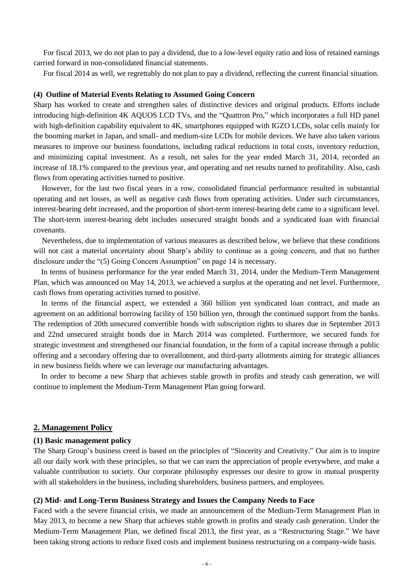For fiscal 2013, we do not plan to pay a dividend, due to a low-level equity ratio and loss of retained earnings carried forward in non-consolidated financial statements.

For fiscal 2014 as well, we regrettably do not plan to pay a dividend, reflecting the current financial situation.

#### **(4) Outline of Material Events Relating to Assumed Going Concern**

Sharp has worked to create and strengthen sales of distinctive devices and original products. Efforts include introducing high-definition 4K AQUOS LCD TVs, and the "Quattron Pro," which incorporates a full HD panel with high-definition capability equivalent to 4K, smartphones equipped with IGZO LCDs, solar cells mainly for the booming market in Japan, and small- and medium-size LCDs for mobile devices. We have also taken various measures to improve our business foundations, including radical reductions in total costs, inventory reduction, and minimizing capital investment. As a result, net sales for the year ended March 31, 2014, recorded an increase of 18.1% compared to the previous year, and operating and net results turned to profitability. Also, cash flows from operating activities turned to positive.

However, for the last two fiscal years in a row, consolidated financial performance resulted in substantial operating and net losses, as well as negative cash flows from operating activities. Under such circumstances, interest-bearing debt increased, and the proportion of short-term interest-bearing debt came to a significant level. The short-term interest-bearing debt includes unsecured straight bonds and a syndicated loan with financial covenants.

Nevertheless, due to implementation of various measures as described below, we believe that these conditions will not cast a material uncertainty about Sharp's ability to continue as a going concern, and that no further disclosure under the "(5) Going Concern Assumption" on page 14 is necessary.

In terms of business performance for the year ended March 31, 2014, under the Medium-Term Management Plan, which was announced on May 14, 2013, we achieved a surplus at the operating and net level. Furthermore, cash flows from operating activities turned to positive.

In terms of the financial aspect, we extended a 360 billion yen syndicated loan contract, and made an agreement on an additional borrowing facility of 150 billion yen, through the continued support from the banks. The redemption of 20th unsecured convertible bonds with subscription rights to shares due in September 2013 and 22nd unsecured straight bonds due in March 2014 was completed. Furthermore, we secured funds for strategic investment and strengthened our financial foundation, in the form of a capital increase through a public offering and a secondary offering due to overallotment, and third-party allotments aiming for strategic alliances in new business fields where we can leverage our manufacturing advantages.

In order to become a new Sharp that achieves stable growth in profits and steady cash generation, we will continue to implement the Medium-Term Management Plan going forward.

#### **2. Management Policy**

#### **(1) Basic management policy**

The Sharp Group's business creed is based on the principles of "Sincerity and Creativity." Our aim is to inspire all our daily work with these principles, so that we can earn the appreciation of people everywhere, and make a valuable contribution to society. Our corporate philosophy expresses our desire to grow in mutual prosperity with all stakeholders in the business, including shareholders, business partners, and employees.

### **(2) Mid- and Long-Term Business Strategy and Issues the Company Needs to Face**

Faced with a the severe financial crisis, we made an announcement of the Medium-Term Management Plan in May 2013, to become a new Sharp that achieves stable growth in profits and steady cash generation. Under the Medium-Term Management Plan, we defined fiscal 2013, the first year, as a "Restructuring Stage." We have been taking strong actions to reduce fixed costs and implement business restructuring on a company-wide basis.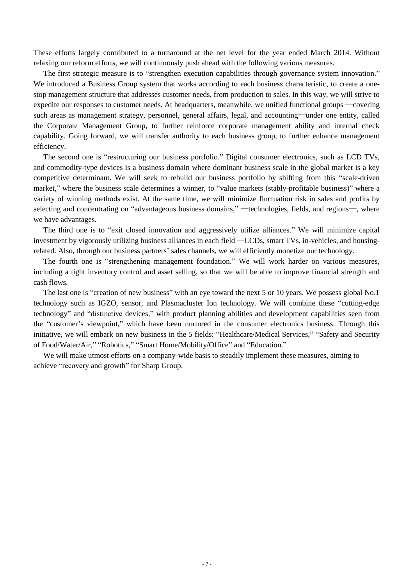These efforts largely contributed to a turnaround at the net level for the year ended March 2014. Without relaxing our reform efforts, we will continuously push ahead with the following various measures.

The first strategic measure is to "strengthen execution capabilities through governance system innovation." We introduced a Business Group system that works according to each business characteristic, to create a onestop management structure that addresses customer needs, from production to sales. In this way, we will strive to expedite our responses to customer needs. At headquarters, meanwhile, we unified functional groups ―covering such areas as management strategy, personnel, general affairs, legal, and accounting―under one entity, called the Corporate Management Group, to further reinforce corporate management ability and internal check capability. Going forward, we will transfer authority to each business group, to further enhance management efficiency.

The second one is "restructuring our business portfolio." Digital consumer electronics, such as LCD TVs, and commodity-type devices is a business domain where dominant business scale in the global market is a key competitive determinant. We will seek to rebuild our business portfolio by shifting from this "scale-driven market," where the business scale determines a winner, to "value markets (stably-profitable business)" where a variety of winning methods exist. At the same time, we will minimize fluctuation risk in sales and profits by selecting and concentrating on "advantageous business domains," —technologies, fields, and regions—, where we have advantages.

The third one is to "exit closed innovation and aggressively utilize alliances." We will minimize capital investment by vigorously utilizing business alliances in each field ―LCDs, smart TVs, in-vehicles, and housingrelated. Also, through our business partners' sales channels, we will efficiently monetize our technology.

The fourth one is "strengthening management foundation." We will work harder on various measures, including a tight inventory control and asset selling, so that we will be able to improve financial strength and cash flows.

The last one is "creation of new business" with an eye toward the next 5 or 10 years. We possess global No.1 technology such as IGZO, sensor, and Plasmacluster Ion technology. We will combine these "cutting-edge technology" and "distinctive devices," with product planning abilities and development capabilities seen from the "customer's viewpoint," which have been nurtured in the consumer electronics business. Through this initiative, we will embark on new business in the 5 fields: "Healthcare/Medical Services," "Safety and Security of Food/Water/Air," "Robotics," "Smart Home/Mobility/Office" and "Education."

We will make utmost efforts on a company-wide basis to steadily implement these measures, aiming to achieve "recovery and growth" for Sharp Group.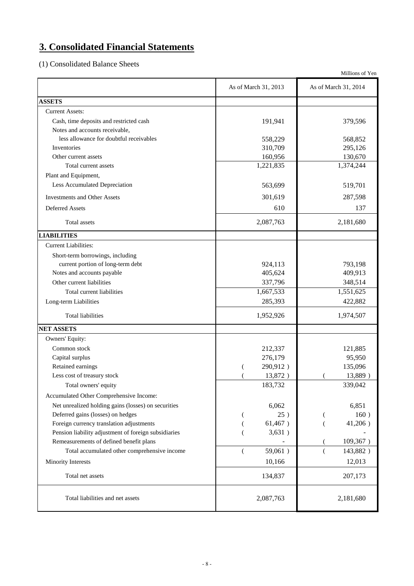# **3. Consolidated Financial Statements**

(1) Consolidated Balance Sheets

|                                                      |                             | Millions of Yen              |
|------------------------------------------------------|-----------------------------|------------------------------|
|                                                      | As of March 31, 2013        | As of March 31, 2014         |
| <b>ASSETS</b>                                        |                             |                              |
| <b>Current Assets:</b>                               |                             |                              |
| Cash, time deposits and restricted cash              | 191,941                     | 379,596                      |
| Notes and accounts receivable,                       |                             |                              |
| less allowance for doubtful receivables              | 558,229                     | 568,852                      |
| Inventories                                          | 310,709                     | 295,126                      |
| Other current assets                                 | 160,956                     | 130,670                      |
| Total current assets                                 | 1,221,835                   | 1,374,244                    |
| Plant and Equipment,                                 |                             |                              |
| Less Accumulated Depreciation                        | 563,699                     | 519,701                      |
| <b>Investments and Other Assets</b>                  | 301,619                     | 287,598                      |
| Deferred Assets                                      | 610                         | 137                          |
| Total assets                                         | 2,087,763                   | 2,181,680                    |
| <b>LIABILITIES</b>                                   |                             |                              |
| <b>Current Liabilities:</b>                          |                             |                              |
| Short-term borrowings, including                     |                             |                              |
| current portion of long-term debt                    | 924,113                     | 793,198                      |
| Notes and accounts payable                           | 405,624                     | 409,913                      |
| Other current liabilities                            | 337,796                     | 348,514                      |
| Total current liabilities                            | 1,667,533                   | 1,551,625                    |
| Long-term Liabilities                                | 285,393                     | 422,882                      |
| <b>Total liabilities</b>                             | 1,952,926                   | 1,974,507                    |
| <b>NET ASSETS</b>                                    |                             |                              |
| Owners' Equity:                                      |                             |                              |
| Common stock                                         | 212,337                     | 121,885                      |
| Capital surplus                                      | 276,179                     | 95,950                       |
| Retained earnings                                    | 290,912)                    | 135,096                      |
| Less cost of treasury stock                          | 13,872)                     | 13,889)                      |
| Total owners' equity                                 | 183,732                     | 339,042                      |
| Accumulated Other Comprehensive Income:              |                             |                              |
| Net unrealized holding gains (losses) on securities  | 6,062                       | 6,851                        |
| Deferred gains (losses) on hedges                    | 25)                         | 160)                         |
| Foreign currency translation adjustments             | 61,467)                     | $41,206$ )                   |
| Pension liability adjustment of foreign subsidiaries | 3,631)                      |                              |
| Remeasurements of defined benefit plans              |                             | 109,367)                     |
| Total accumulated other comprehensive income         | 59,061)<br>$\overline{(\ }$ | 143,882)<br>$\overline{(\ }$ |
| Minority Interests                                   | 10,166                      | 12,013                       |
| Total net assets                                     | 134,837                     | 207,173                      |
| Total liabilities and net assets                     | 2,087,763                   | 2,181,680                    |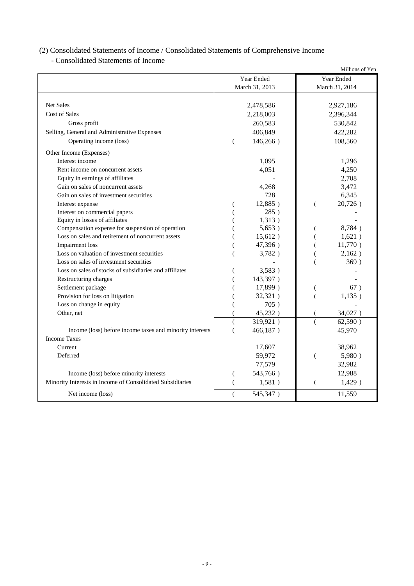### (2) Consolidated Statements of Income / Consolidated Statements of Comprehensive Income

- Consolidated Statements of Income

|                                                           |                  |                |   | Millions of Yen |
|-----------------------------------------------------------|------------------|----------------|---|-----------------|
|                                                           |                  | Year Ended     |   | Year Ended      |
|                                                           |                  | March 31, 2013 |   | March 31, 2014  |
|                                                           |                  |                |   |                 |
| <b>Net Sales</b>                                          |                  | 2,478,586      |   | 2,927,186       |
| Cost of Sales                                             |                  | 2,218,003      |   | 2,396,344       |
| Gross profit                                              |                  | 260,583        |   | 530,842         |
| Selling, General and Administrative Expenses              |                  | 406,849        |   | 422,282         |
| Operating income (loss)                                   |                  | $146,266$ )    |   | 108,560         |
| Other Income (Expenses)                                   |                  |                |   |                 |
| Interest income                                           |                  | 1,095          |   | 1,296           |
| Rent income on noncurrent assets                          |                  | 4,051          |   | 4,250           |
| Equity in earnings of affiliates                          |                  |                |   | 2,708           |
| Gain on sales of noncurrent assets                        |                  | 4,268          |   | 3,472           |
| Gain on sales of investment securities                    |                  | 728            |   | 6,345           |
| Interest expense                                          |                  | 12,885)        |   | 20,726)         |
| Interest on commercial papers                             |                  | 285)           |   |                 |
| Equity in losses of affiliates                            |                  | 1,313)         |   |                 |
| Compensation expense for suspension of operation          |                  | 5,653)         |   | 8,784)          |
| Loss on sales and retirement of noncurrent assets         |                  | 15,612)        |   | 1,621)          |
| <b>Impairment</b> loss                                    |                  | 47,396)        |   | 11,770)         |
| Loss on valuation of investment securities                |                  | 3,782)         |   | 2,162)          |
| Loss on sales of investment securities                    |                  |                |   | 369)            |
| Loss on sales of stocks of subsidiaries and affiliates    |                  | 3,583)         |   |                 |
| Restructuring charges                                     |                  | 143,397)       |   |                 |
| Settlement package                                        |                  | 17,899)        |   | 67)             |
| Provision for loss on litigation                          |                  | 32,321)        |   | 1,135)          |
| Loss on change in equity                                  |                  | 705)           |   |                 |
| Other, net                                                |                  | 45,232)        |   | 34,027)         |
|                                                           |                  | 319,921)       |   | 62,590)         |
| Income (loss) before income taxes and minority interests  |                  | 466,187)       |   | 45,970          |
| <b>Income Taxes</b>                                       |                  |                |   |                 |
| Current                                                   |                  | 17,607         |   | 38,962          |
| Deferred                                                  |                  | 59,972         |   | 5,980)          |
|                                                           |                  | 77,579         |   | 32,982          |
| Income (loss) before minority interests                   |                  | 543,766)       |   | 12,988          |
| Minority Interests in Income of Consolidated Subsidiaries |                  | 1,581)         | ( | 1,429)          |
| Net income (loss)                                         | $\overline{(\ }$ | 545,347)       |   | 11,559          |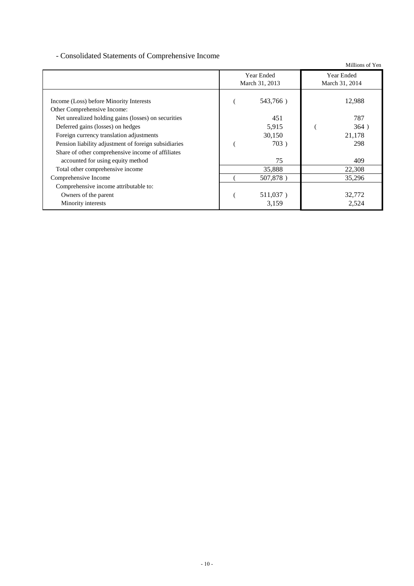### - Consolidated Statements of Comprehensive Income

Millions of Yen Income (Loss) before Minority Interests ( 543,766 ) 12,988 Other Comprehensive Income: Net unrealized holding gains (losses) on securities 451 451 787 Deferred gains (losses) on hedges 5,915 (364) Foreign currency translation adjustments 30,150 30,150 21,178 Pension liability adjustment of foreign subsidiaries ( 703 ) 298 Share of other comprehensive income of affiliates accounted for using equity method  $\frac{75}{409}$ Total other comprehensive income 35,888 22,308 Comprehensive Income ( 507,878 ) 35,296 Comprehensive income attributable to: Owners of the parent 32,772 Minority interests 2,524 Year Ended March 31, 2013 Year Ended March 31, 2014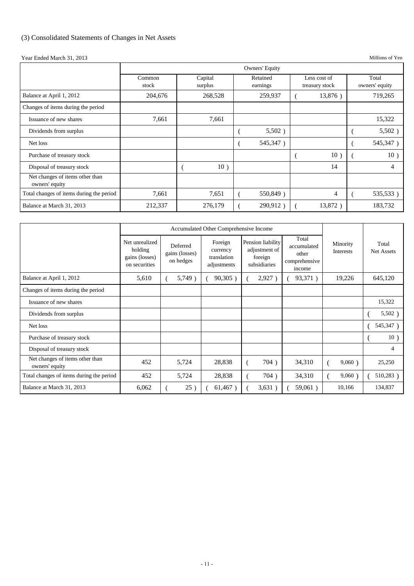### (3) Consolidated Statements of Changes in Net Assets

Year Ended March 31, 2013 Millions of Yen

|                                                   | Owners' Equity  |                    |                      |                                |                         |  |  |
|---------------------------------------------------|-----------------|--------------------|----------------------|--------------------------------|-------------------------|--|--|
|                                                   | Common<br>stock | Capital<br>surplus | Retained<br>earnings | Less cost of<br>treasury stock | Total<br>owners' equity |  |  |
| Balance at April 1, 2012                          | 204,676         | 268,528            | 259,937              | 13,876)                        | 719,265                 |  |  |
| Changes of items during the period                |                 |                    |                      |                                |                         |  |  |
| Issuance of new shares                            | 7,661           | 7,661              |                      |                                | 15,322                  |  |  |
| Dividends from surplus                            |                 |                    | $5,502$ )            |                                | $5,502$ )               |  |  |
| Net loss                                          |                 |                    | 545,347)             |                                | 545,347)                |  |  |
| Purchase of treasury stock                        |                 |                    |                      | 10)                            | 10)                     |  |  |
| Disposal of treasury stock                        |                 | 10)                |                      | 14                             | 4                       |  |  |
| Net changes of items other than<br>owners' equity |                 |                    |                      |                                |                         |  |  |
| Total changes of items during the period          | 7,661           | 7,651              | 550,849)             | $\overline{4}$                 | 535,533)                |  |  |
| Balance at March 31, 2013                         | 212,337         | 276,179            | 290,912)             | 13,872)                        | 183,732                 |  |  |

|                                                   | Accumulated Other Comprehensive Income                       |                                         |                                                   |                                                               |                                                          |                       |                            |
|---------------------------------------------------|--------------------------------------------------------------|-----------------------------------------|---------------------------------------------------|---------------------------------------------------------------|----------------------------------------------------------|-----------------------|----------------------------|
|                                                   | Net unrealized<br>holding<br>gains (losses)<br>on securities | Deferred<br>gains (losses)<br>on hedges | Foreign<br>currency<br>translation<br>adjustments | Pension liability<br>adjustment of<br>foreign<br>subsidiaries | Total<br>accumulated<br>other<br>comprehensive<br>income | Minority<br>Interests | Total<br><b>Net Assets</b> |
| Balance at April 1, 2012                          | 5,610                                                        | 5,749)                                  | 90,305)                                           | 2,927)                                                        | 93,371)                                                  | 19,226                | 645,120                    |
| Changes of items during the period                |                                                              |                                         |                                                   |                                                               |                                                          |                       |                            |
| Issuance of new shares                            |                                                              |                                         |                                                   |                                                               |                                                          |                       | 15,322                     |
| Dividends from surplus                            |                                                              |                                         |                                                   |                                                               |                                                          |                       | $5,502$ )                  |
| Net loss                                          |                                                              |                                         |                                                   |                                                               |                                                          |                       | 545,347)                   |
| Purchase of treasury stock                        |                                                              |                                         |                                                   |                                                               |                                                          |                       | 10)                        |
| Disposal of treasury stock                        |                                                              |                                         |                                                   |                                                               |                                                          |                       | $\overline{4}$             |
| Net changes of items other than<br>owners' equity | 452                                                          | 5,724                                   | 28,838                                            | 704)                                                          | 34,310                                                   | 9,060)                | 25,250                     |
| Total changes of items during the period          | 452                                                          | 5,724                                   | 28,838                                            | 704)                                                          | 34,310                                                   | 9,060                 | 510,283)                   |
| Balance at March 31, 2013                         | 6,062                                                        | 25)                                     | $61,467$ )                                        | 3,631)                                                        | 59,061)                                                  | 10,166                | 134,837                    |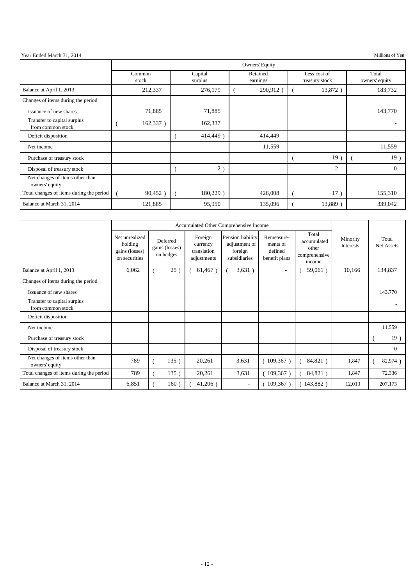Year Ended March 31, 2014 Millions of Yen

|                                                   | Owners' Equity  |                    |                      |                                |                         |
|---------------------------------------------------|-----------------|--------------------|----------------------|--------------------------------|-------------------------|
|                                                   | Common<br>stock | Capital<br>surplus | Retained<br>earnings | Less cost of<br>treasury stock | Total<br>owners' equity |
| Balance at April 1, 2013                          | 212,337         | 276,179            | 290,912)             | 13,872)                        | 183,732                 |
| Changes of items during the period                |                 |                    |                      |                                |                         |
| Issuance of new shares                            | 71,885          | 71,885             |                      |                                | 143,770                 |
| Transfer to capital surplus<br>from common stock  | 162,337)        | 162,337            |                      |                                |                         |
| Deficit disposition                               |                 | 414,449)           | 414,449              |                                |                         |
| Net income                                        |                 |                    | 11,559               |                                | 11,559                  |
| Purchase of treasury stock                        |                 |                    |                      | 19)                            | 19)                     |
| Disposal of treasury stock                        |                 | 2)                 |                      | $\overline{c}$                 | $\Omega$                |
| Net changes of items other than<br>owners' equity |                 |                    |                      |                                |                         |
| Total changes of items during the period          | 90,452          | $180,229$ )        | 426,008              | 17)                            | 155,310                 |
| Balance at March 31, 2014                         | 121,885         | 95,950             | 135,096              | 13,889)                        | 339,042                 |

|                                                   | Accumulated Other Comprehensive Income                       |                                         |                                                   |                                                               |                                                    |                                                          |                       |                     |
|---------------------------------------------------|--------------------------------------------------------------|-----------------------------------------|---------------------------------------------------|---------------------------------------------------------------|----------------------------------------------------|----------------------------------------------------------|-----------------------|---------------------|
|                                                   | Net unrealized<br>holding<br>gains (losses)<br>on securities | Deferred<br>gains (losses)<br>on hedges | Foreign<br>currency<br>translation<br>adjustments | Pension liability<br>adjustment of<br>foreign<br>subsidiaries | Remeasure-<br>ments of<br>defined<br>benefit plans | Total<br>accumulated<br>other<br>comprehensive<br>income | Minority<br>Interests | Total<br>Net Assets |
| Balance at April 1, 2013                          | 6,062                                                        | 25)                                     | $61,467$ )                                        | 3,631)                                                        | $\overline{\phantom{a}}$                           | $59,061$ )                                               | 10,166                | 134,837             |
| Changes of items during the period                |                                                              |                                         |                                                   |                                                               |                                                    |                                                          |                       |                     |
| Issuance of new shares                            |                                                              |                                         |                                                   |                                                               |                                                    |                                                          |                       | 143,770             |
| Transfer to capital surplus<br>from common stock  |                                                              |                                         |                                                   |                                                               |                                                    |                                                          |                       |                     |
| Deficit disposition                               |                                                              |                                         |                                                   |                                                               |                                                    |                                                          |                       |                     |
| Net income                                        |                                                              |                                         |                                                   |                                                               |                                                    |                                                          |                       | 11,559              |
| Purchase of treasury stock                        |                                                              |                                         |                                                   |                                                               |                                                    |                                                          |                       | 19)                 |
| Disposal of treasury stock                        |                                                              |                                         |                                                   |                                                               |                                                    |                                                          |                       | $\Omega$            |
| Net changes of items other than<br>owners' equity | 789                                                          | 135)                                    | 20,261                                            | 3,631                                                         | (109,367)                                          | 84,821)                                                  | 1,847                 | 82,974)             |
| Total changes of items during the period          | 789                                                          | 135)                                    | 20,261                                            | 3,631                                                         | $109,367$ )                                        | 84,821)                                                  | 1,847                 | 72,336              |
| Balance at March 31, 2014                         | 6,851                                                        | 160)                                    | $41,206$ )                                        | $\overline{\phantom{a}}$                                      | $109,367$ )                                        | 143,882)                                                 | 12,013                | 207,173             |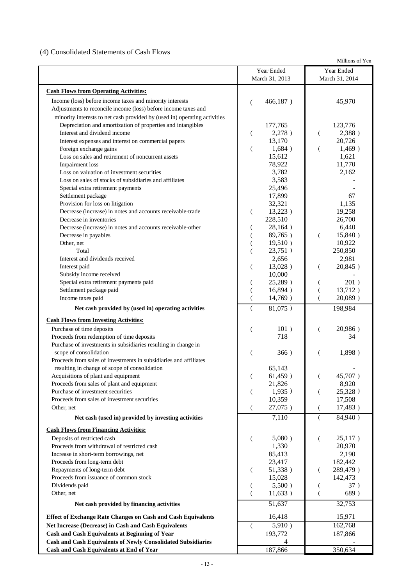### (4) Consolidated Statements of Cash Flows

Millions of Yen

|                                                                             | Year Ended            | Year Ended                     |
|-----------------------------------------------------------------------------|-----------------------|--------------------------------|
|                                                                             | March 31, 2013        | March 31, 2014                 |
| <b>Cash Flows from Operating Activities:</b>                                |                       |                                |
| Income (loss) before income taxes and minority interests                    | 466,187)<br>(         | 45,970                         |
| Adjustments to reconcile income (loss) before income taxes and              |                       |                                |
| minority interests to net cash provided by (used in) operating activities - |                       |                                |
| Depreciation and amortization of properties and intangibles                 | 177,765               | 123,776                        |
| Interest and dividend income                                                | 2,278)<br>€           | 2,388)<br>€                    |
| Interest expenses and interest on commercial papers                         | 13,170                | 20,726                         |
| Foreign exchange gains                                                      | 1,684)<br>€           | 1,469)<br>$\left($             |
| Loss on sales and retirement of noncurrent assets                           | 15,612                | 1,621                          |
| Impairment loss                                                             | 78,922                | 11,770                         |
| Loss on valuation of investment securities                                  | 3,782                 | 2,162                          |
| Loss on sales of stocks of subsidiaries and affiliates                      | 3,583                 |                                |
| Special extra retirement payments                                           | 25,496                |                                |
| Settlement package                                                          | 17,899                | 67                             |
| Provision for loss on litigation                                            | 32,321                | 1,135                          |
| Decrease (increase) in notes and accounts receivable-trade                  | $13,223$ )<br>€       | 19,258                         |
| Decrease in inventories                                                     | 228,510               | 26,700                         |
| Decrease (increase) in notes and accounts receivable-other                  | 28,164)               | 6,440                          |
| Decrease in payables                                                        | 89,765)               | 15,840)<br>$\left($            |
| Other, net<br>Total                                                         | 19,510)               | 10,922                         |
| Interest and dividends received                                             | 23,751)               | 250,850<br>2,981               |
| Interest paid                                                               | 2,656<br>13,028)<br>€ | 20,845)<br>€                   |
| Subsidy income received                                                     | 10,000                |                                |
| Special extra retirement payments paid                                      | 25,289)               | 201)                           |
| Settlement package paid                                                     | 16,894)               | 13,712)<br>€                   |
| Income taxes paid                                                           | 14,769)               | $\overline{(\ }$<br>$20,089$ ) |
| Net cash provided by (used in) operating activities                         | 81,075)               | 198,984                        |
|                                                                             |                       |                                |
| <b>Cash Flows from Investing Activities:</b>                                |                       |                                |
| Purchase of time deposits<br>Proceeds from redemption of time deposits      | 101)<br>718           | 20,986)<br>€<br>34             |
| Purchase of investments in subsidiaries resulting in change in              |                       |                                |
| scope of consolidation                                                      | 366)                  | 1,898)                         |
| Proceeds from sales of investments in subsidiaries and affiliates           |                       |                                |
| resulting in change of scope of consolidation                               | 65,143                |                                |
| Acquisitions of plant and equipment                                         | 61,459)               | 45,707)                        |
| Proceeds from sales of plant and equipment                                  | 21,826                | 8,920                          |
| Purchase of investment securities                                           | 1,935)<br>€           | 25,328)<br>€                   |
| Proceeds from sales of investment securities                                | 10,359                | 17,508                         |
| Other, net                                                                  | 27,075)<br>€          | 17,483)<br>$\left($            |
| Net cash (used in) provided by investing activities                         | 7,110                 | 84,940)<br>$\left($            |
| <b>Cash Flows from Financing Activities:</b>                                |                       |                                |
| Deposits of restricted cash                                                 | 5,080)<br>€           | 25,117)<br>$\left($            |
| Proceeds from withdrawal of restricted cash                                 | 1,330                 | 20,970                         |
| Increase in short-term borrowings, net                                      | 85,413                | 2,190                          |
| Proceeds from long-term debt                                                | 23,417                | 182,442                        |
| Repayments of long-term debt                                                | 51,338)<br>(          | 289,479)<br>€                  |
| Proceeds from issuance of common stock                                      | 15,028                | 142,473                        |
| Dividends paid                                                              | 5,500)                | 37)                            |
| Other, net                                                                  | 11,633)<br>(          | 689)<br>$\left($               |
| Net cash provided by financing activities                                   | 51,637                | 32,753                         |
| <b>Effect of Exchange Rate Changes on Cash and Cash Equivalents</b>         | 16,418                | 15,971                         |
| Net Increase (Decrease) in Cash and Cash Equivalents                        | 5,910)<br>€           | 162,768                        |
| <b>Cash and Cash Equivalents at Beginning of Year</b>                       | 193,772               | 187,866                        |
| <b>Cash and Cash Equivalents of Newly Consolidated Subsidiaries</b>         |                       |                                |
| Cash and Cash Equivalents at End of Year                                    | 187,866               | 350,634                        |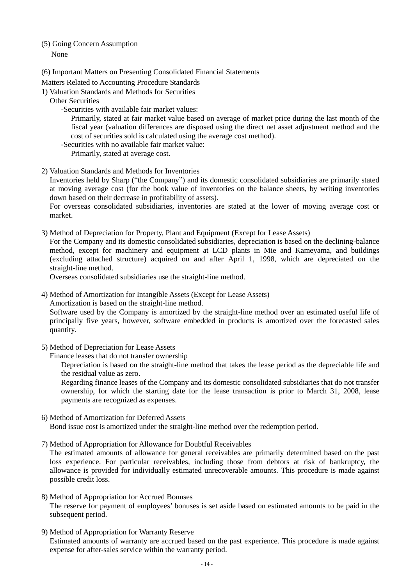## (5) Going Concern Assumption

None

- (6) Important Matters on Presenting Consolidated Financial Statements
- Matters Related to Accounting Procedure Standards
- 1) Valuation Standards and Methods for Securities
	- Other Securities
		- -Securities with available fair market values:

Primarily, stated at fair market value based on average of market price during the last month of the fiscal year (valuation differences are disposed using the direct net asset adjustment method and the cost of securities sold is calculated using the average cost method).

-Securities with no available fair market value:

Primarily, stated at average cost.

2) Valuation Standards and Methods for Inventories

Inventories held by Sharp ("the Company") and its domestic consolidated subsidiaries are primarily stated at moving average cost (for the book value of inventories on the balance sheets, by writing inventories down based on their decrease in profitability of assets).

For overseas consolidated subsidiaries, inventories are stated at the lower of moving average cost or market.

3) Method of Depreciation for Property, Plant and Equipment (Except for Lease Assets)

For the Company and its domestic consolidated subsidiaries, depreciation is based on the declining-balance method, except for machinery and equipment at LCD plants in Mie and Kameyama, and buildings (excluding attached structure) acquired on and after April 1, 1998, which are depreciated on the straight-line method.

Overseas consolidated subsidiaries use the straight-line method.

4) Method of Amortization for Intangible Assets (Except for Lease Assets)

Amortization is based on the straight-line method.

Software used by the Company is amortized by the straight-line method over an estimated useful life of principally five years, however, software embedded in products is amortized over the forecasted sales quantity.

- 5) Method of Depreciation for Lease Assets
	- Finance leases that do not transfer ownership

Depreciation is based on the straight-line method that takes the lease period as the depreciable life and the residual value as zero.

Regarding finance leases of the Company and its domestic consolidated subsidiaries that do not transfer ownership, for which the starting date for the lease transaction is prior to March 31, 2008, lease payments are recognized as expenses.

- 6) Method of Amortization for Deferred Assets Bond issue cost is amortized under the straight-line method over the redemption period.
- 7) Method of Appropriation for Allowance for Doubtful Receivables

The estimated amounts of allowance for general receivables are primarily determined based on the past loss experience. For particular receivables, including those from debtors at risk of bankruptcy, the allowance is provided for individually estimated unrecoverable amounts. This procedure is made against possible credit loss.

- 8) Method of Appropriation for Accrued Bonuses The reserve for payment of employees' bonuses is set aside based on estimated amounts to be paid in the subsequent period.
- 9) Method of Appropriation for Warranty Reserve Estimated amounts of warranty are accrued based on the past experience. This procedure is made against expense for after-sales service within the warranty period.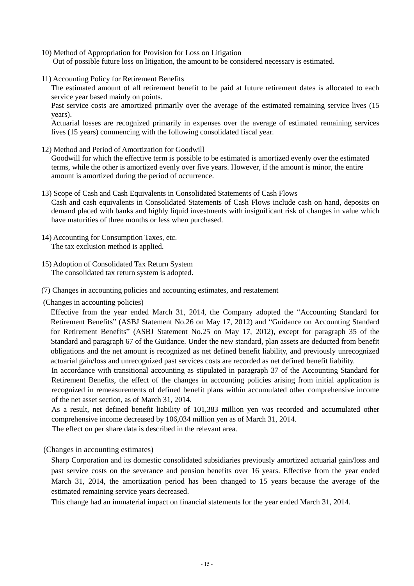- 10) Method of Appropriation for Provision for Loss on Litigation Out of possible future loss on litigation, the amount to be considered necessary is estimated.
- 11) Accounting Policy for Retirement Benefits

The estimated amount of all retirement benefit to be paid at future retirement dates is allocated to each service year based mainly on points.

Past service costs are amortized primarily over the average of the estimated remaining service lives (15 years).

Actuarial losses are recognized primarily in expenses over the average of estimated remaining services lives (15 years) commencing with the following consolidated fiscal year.

12) Method and Period of Amortization for Goodwill

Goodwill for which the effective term is possible to be estimated is amortized evenly over the estimated terms, while the other is amortized evenly over five years. However, if the amount is minor, the entire amount is amortized during the period of occurrence.

13) Scope of Cash and Cash Equivalents in Consolidated Statements of Cash Flows

Cash and cash equivalents in Consolidated Statements of Cash Flows include cash on hand, deposits on demand placed with banks and highly liquid investments with insignificant risk of changes in value which have maturities of three months or less when purchased.

- 14) Accounting for Consumption Taxes, etc. The tax exclusion method is applied.
- 15) Adoption of Consolidated Tax Return System The consolidated tax return system is adopted.

(7) Changes in accounting policies and accounting estimates, and restatement

(Changes in accounting policies)

 Effective from the year ended March 31, 2014, the Company adopted the "Accounting Standard for Retirement Benefits" (ASBJ Statement No.26 on May 17, 2012) and "Guidance on Accounting Standard for Retirement Benefits" (ASBJ Statement No.25 on May 17, 2012), except for paragraph 35 of the Standard and paragraph 67 of the Guidance. Under the new standard, plan assets are deducted from benefit obligations and the net amount is recognized as net defined benefit liability, and previously unrecognized actuarial gain/loss and unrecognized past services costs are recorded as net defined benefit liability.

 In accordance with transitional accounting as stipulated in paragraph 37 of the Accounting Standard for Retirement Benefits, the effect of the changes in accounting policies arising from initial application is recognized in remeasurements of defined benefit plans within accumulated other comprehensive income of the net asset section, as of March 31, 2014.

 As a result, net defined benefit liability of 101,383 million yen was recorded and accumulated other comprehensive income decreased by 106,034 million yen as of March 31, 2014.

The effect on per share data is described in the relevant area.

(Changes in accounting estimates)

Sharp Corporation and its domestic consolidated subsidiaries previously amortized actuarial gain/loss and past service costs on the severance and pension benefits over 16 years. Effective from the year ended March 31, 2014, the amortization period has been changed to 15 years because the average of the estimated remaining service years decreased.

This change had an immaterial impact on financial statements for the year ended March 31, 2014.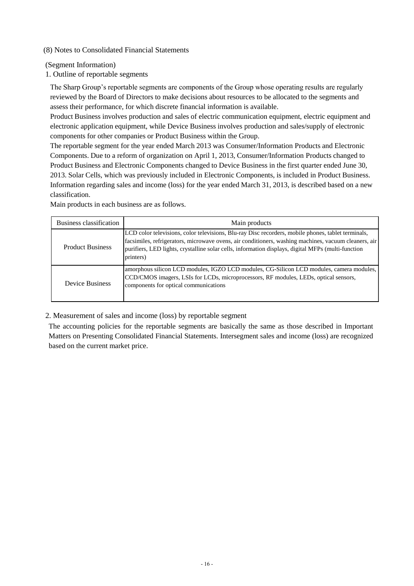### (8) Notes to Consolidated Financial Statements

(Segment Information)

1. Outline of reportable segments

reviewed by the Board of Directors to make decisions about resources to be allocated to the segments and reviewed by the Board of Directors to make decisions about resources to be allocated to the segments and assess their performance, for which discrete financial information is available. The Sharp Group's reportable segments are components of the Group whose operating results are regularly

Product Business involves production and sales of electric communication equipment, electric equipment and electronic application equipment, while Device Business involves production and sales/supply of electronic components for other companies or Product Business within the Group.

The reportable segment for the year ended March 2013 was Consumer/Information Products and Electronic Components. Due to a reform of organization on April 1, 2013, Consumer/Information Products changed to Product Business and Electronic Components changed to Device Business in the first quarter ended June 30, 2013. Solar Cells, which was previously included in Electronic Components, is included in Product Business. Information regarding sales and income (loss) for the year ended March 31, 2013, is described based on a new classification.

Business classification and a metal metal metal metal metal metal metal metal metal metal metal metal metal metal metal metal metal metal metal metal metal metal metal metal metal metal metal metal metal metal metal metal Product Business LCD color televisions, color televisions, Blu-ray Disc recorders, mobile phones, tablet terminals, facsimiles, refrigerators, microwave ovens, air conditioners, washing machines, vacuum cleaners, air purifiers, LED lights, crystalline solar cells, information displays, digital MFPs (multi-function printers) Device Business amorphous silicon LCD modules, IGZO LCD modules, CG-Silicon LCD modules, camera modules, CCD/CMOS imagers, LSIs for LCDs, microprocessors, RF modules, LEDs, optical sensors, components for optical communications

Main products in each business are as follows.

2. Measurement of sales and income (loss) by reportable segment

The accounting policies for the reportable segments are basically the same as those described in Important Matters on Presenting Consolidated Financial Statements. Intersegment sales and income (loss) are recognized based on the current market price.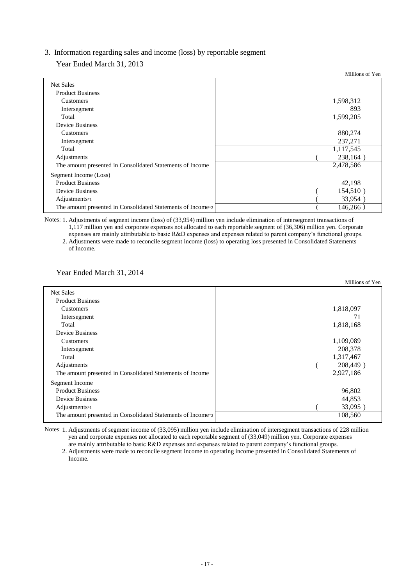### 3. Information regarding sales and income (loss) by reportable segment

Year Ended March 31, 2013

|                                                             | Millions of Yen |
|-------------------------------------------------------------|-----------------|
| <b>Net Sales</b>                                            |                 |
| <b>Product Business</b>                                     |                 |
| <b>Customers</b>                                            | 1,598,312       |
| Intersegment                                                | 893             |
| Total                                                       | 1,599,205       |
| <b>Device Business</b>                                      |                 |
| Customers                                                   | 880,274         |
| Intersegment                                                | 237,271         |
| Total                                                       | 1,117,545       |
| Adjustments                                                 | 238,164         |
| The amount presented in Consolidated Statements of Income   | 2,478,586       |
| Segment Income (Loss)                                       |                 |
| <b>Product Business</b>                                     | 42,198          |
| <b>Device Business</b>                                      | 154,510)        |
| Adjustments*1                                               | 33,954          |
| The amount presented in Consolidated Statements of Income*2 | 146,266)        |

Notes: 1. Adjustments of segment income (loss) of (33,954) million yen include elimination of intersegment transactions of 1,117 million yen and corporate expenses not allocated to each reportable segment of (36,306) million yen. Corporate

 expenses are mainly attributable to basic R&D expenses and expenses related to parent company's functional groups. 2. Adjustments were made to reconcile segment income (loss) to operating loss presented in Consolidated Statements of Income.

Year Ended March 31, 2014

|                                                             | Millions of Yen |
|-------------------------------------------------------------|-----------------|
| <b>Net Sales</b>                                            |                 |
| <b>Product Business</b>                                     |                 |
| Customers                                                   | 1,818,097       |
| Intersegment                                                | 71              |
| Total                                                       | 1,818,168       |
| <b>Device Business</b>                                      |                 |
| Customers                                                   | 1,109,089       |
| Intersegment                                                | 208,378         |
| Total                                                       | 1,317,467       |
| Adjustments                                                 | 208,449)        |
| The amount presented in Consolidated Statements of Income   | 2,927,186       |
| <b>Segment Income</b>                                       |                 |
| <b>Product Business</b>                                     | 96,802          |
| <b>Device Business</b>                                      | 44,853          |
| Adjustments $*$ 1                                           | 33,095)         |
| The amount presented in Consolidated Statements of Income*2 | 108,560         |
|                                                             |                 |

Notes: 1. Adjustments of segment income of (33,095) million yen include elimination of intersegment transactions of 228 million yen and corporate expenses not allocated to each reportable segment of (33,049) million yen. Corporate expenses are mainly attributable to basic R&D expenses and expenses related to parent company's functional groups.

2. Adjustments were made to reconcile segment income to operating income presented in Consolidated Statements of Income.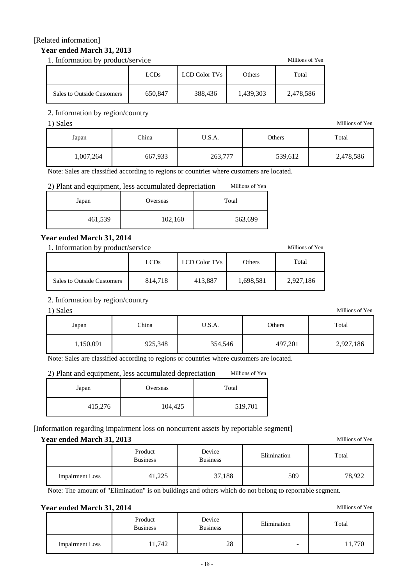### [Related information]

### **Year ended March 31, 2013**

1. Information by product/service Millions of Yen

|                            | <b>LCDs</b> | LCD Color TVs | Others    | Total     |
|----------------------------|-------------|---------------|-----------|-----------|
| Sales to Outside Customers | 650,847     | 388,436       | 1,439,303 | 2,478,586 |

### 2. Information by region/country

| 1) Sales  |         |         |         | Millions of Yen |
|-----------|---------|---------|---------|-----------------|
| Japan     | China   | U.S.A.  | Others  | Total           |
| 1,007,264 | 667,933 | 263,777 | 539,612 | 2,478,586       |

Note: Sales are classified according to regions or countries where customers are located.

### 2) Plant and equipment, less accumulated depreciation Millions of Yen

| Japan   | Overseas | Total   |
|---------|----------|---------|
| 461,539 | 102,160  | 563,699 |

### **Year ended March 31, 2014**

1. Information by product/service Millions of Yen

|                            | <b>LCDs</b> | LCD Color TVs | Others    | Total     |  |
|----------------------------|-------------|---------------|-----------|-----------|--|
| Sales to Outside Customers | 814,718     | 413,887       | 1,698,581 | 2,927,186 |  |

### 2. Information by region/country

| 1) Sales  |         |         |         | Millions of Yen |
|-----------|---------|---------|---------|-----------------|
| Japan     | China   | U.S.A.  | Others  | Total           |
| 1,150,091 | 925,348 | 354,546 | 497,201 | 2,927,186       |

Note: Sales are classified according to regions or countries where customers are located.

### 2) Plant and equipment, less accumulated depreciation Millions of Yen

| Japan   | Overseas | Total   |
|---------|----------|---------|
| 415,276 | 104,425  | 519,701 |

### [Information regarding impairment loss on noncurrent assets by reportable segment]

### **Year ended March 31, 2013** Millions of Yen

|                        | Product<br><b>Business</b> |        | Elimination | Total  |  |
|------------------------|----------------------------|--------|-------------|--------|--|
| <b>Impairment Loss</b> | 41,225                     | 37,188 | 509         | 78.922 |  |

Note: The amount of "Elimination" is on buildings and others which do not belong to reportable segment.

### **Year ended March 31, 2014** Millions of Yen

|                        | Product<br><b>Business</b> | Device<br><b>Business</b> | Elimination              | Total |  |
|------------------------|----------------------------|---------------------------|--------------------------|-------|--|
| <b>Impairment Loss</b> | 11,742                     | 28                        | $\overline{\phantom{a}}$ |       |  |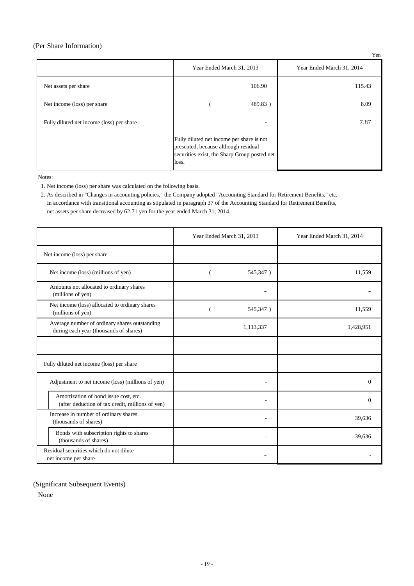#### (Per Share Information)

|                                           |                                                                                                                                            | Yen                       |
|-------------------------------------------|--------------------------------------------------------------------------------------------------------------------------------------------|---------------------------|
|                                           | Year Ended March 31, 2013                                                                                                                  | Year Ended March 31, 2014 |
| Net assets per share                      | 106.90                                                                                                                                     | 115.43                    |
| Net income (loss) per share               | 489.83)                                                                                                                                    | 8.09                      |
| Fully diluted net income (loss) per share | $\qquad \qquad$                                                                                                                            | 7.87                      |
|                                           | Fully diluted net income per share is not<br>presented, because although residual<br>securities exist, the Sharp Group posted net<br>loss. |                           |

Notes:

1. Net income (loss) per share was calculated on the following basis.

 2. As described in "Changes in accounting policies," the Company adopted "Accounting Standard for Retirement Benefits," etc. In accordance with transitional accounting as stipulated in paragraph 37 of the Accounting Standard for Retirement Benefits, net assets per share decreased by 62.71 yen for the year ended March 31, 2014.

|                                                                                           | Year Ended March 31, 2013 | Year Ended March 31, 2014 |  |
|-------------------------------------------------------------------------------------------|---------------------------|---------------------------|--|
| Net income (loss) per share                                                               |                           |                           |  |
| Net income (loss) (millions of yen)                                                       | 545,347)                  | 11,559                    |  |
| Amounts not allocated to ordinary shares<br>(millions of yen)                             |                           |                           |  |
| Net income (loss) allocated to ordinary shares<br>(millions of yen)                       | 545,347)                  | 11,559                    |  |
| Average number of ordinary shares outstanding<br>during each year (thousands of shares)   | 1,113,337                 | 1,428,951                 |  |
|                                                                                           |                           |                           |  |
| Fully diluted net income (loss) per share                                                 |                           |                           |  |
| Adjustment to net income (loss) (millions of yen)                                         |                           | $\Omega$                  |  |
| Amortization of bond issue cost, etc.<br>(after deduction of tax credit, millions of yen) |                           | $\Omega$                  |  |
| Increase in number of ordinary shares<br>(thousands of shares)                            |                           | 39,636                    |  |
| Bonds with subscription rights to shares<br>(thousands of shares)                         |                           | 39,636                    |  |
| Residual securities which do not dilute<br>net income per share                           |                           |                           |  |

(Significant Subsequent Events)

None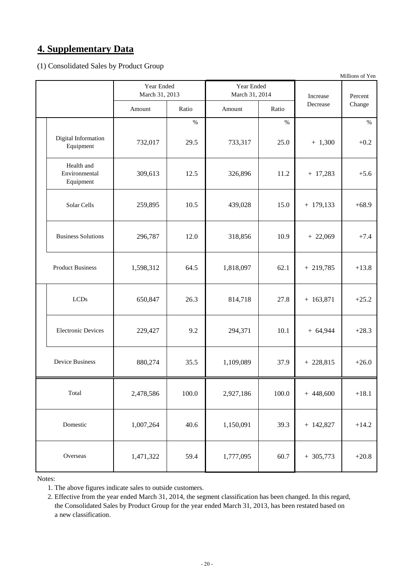## **4. Supplementary Data**

(1) Consolidated Sales by Product Group

|                                          |           |                                                              |           |           | Millions of Yen |         |
|------------------------------------------|-----------|--------------------------------------------------------------|-----------|-----------|-----------------|---------|
|                                          |           | Year Ended<br>Year Ended<br>March 31, 2013<br>March 31, 2014 |           |           | Increase        | Percent |
|                                          | Amount    | Ratio                                                        | Amount    | Ratio     | Decrease        | Change  |
|                                          |           | $\%$                                                         |           | $\%$      |                 | $\%$    |
| Digital Information<br>Equipment         | 732,017   | 29.5                                                         | 733,317   | 25.0      | $+ 1,300$       | $+0.2$  |
| Health and<br>Environmental<br>Equipment | 309,613   | 12.5                                                         | 326,896   | 11.2      | $+ 17,283$      | $+5.6$  |
| Solar Cells                              | 259,895   | 10.5                                                         | 439,028   | 15.0      | $+ 179,133$     | $+68.9$ |
| <b>Business Solutions</b>                | 296,787   | 12.0                                                         | 318,856   | 10.9      | $+22,069$       | $+7.4$  |
| <b>Product Business</b>                  | 1,598,312 | 64.5                                                         | 1,818,097 | 62.1      | $+219,785$      | $+13.8$ |
| <b>LCDs</b>                              | 650,847   | 26.3                                                         | 814,718   | 27.8      | $+ 163,871$     | $+25.2$ |
| <b>Electronic Devices</b>                | 229,427   | 9.2                                                          | 294,371   | $10.1\,$  | $+64,944$       | $+28.3$ |
| <b>Device Business</b>                   | 880,274   | 35.5                                                         | 1,109,089 | 37.9      | $+228,815$      | $+26.0$ |
| Total                                    | 2,478,586 | 100.0                                                        | 2,927,186 | $100.0\,$ | $+448,600$      | $+18.1$ |
| Domestic                                 | 1,007,264 | 40.6                                                         | 1,150,091 | 39.3      | $+ 142,827$     | $+14.2$ |
| Overseas                                 | 1,471,322 | 59.4                                                         | 1,777,095 | 60.7      | $+305,773$      | $+20.8$ |

Notes:

1. The above figures indicate sales to outside customers.

 2. Effective from the year ended March 31, 2014, the segment classification has been changed. In this regard, the Consolidated Sales by Product Group for the year ended March 31, 2013, has been restated based on a new classification.